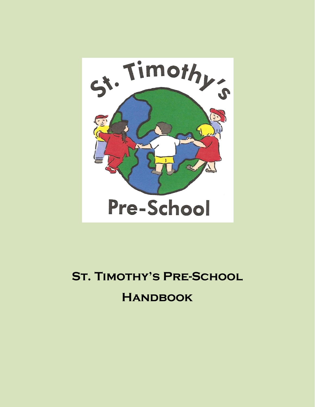

# **St. Timothy's Pre-School Handbook**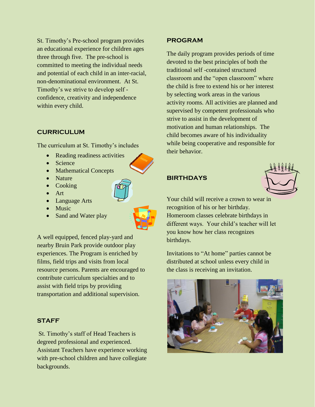St. Timothy's Pre-school program provides an educational experience for children ages three through five. The pre-school is committed to meeting the individual needs and potential of each child in an inter-racial, non-denominational environment. At St. Timothy's we strive to develop self confidence, creativity and independence within every child.

#### **CURRICULUM**

The curriculum at St. Timothy's includes

- Reading readiness activities
- Science
- Mathematical Concepts
- Nature
- Cooking
- Art
- Language Arts
- Music
- Sand and Water play



A well equipped, fenced play-yard and nearby Bruin Park provide outdoor play experiences. The Program is enriched by films, field trips and visits from local resource persons. Parents are encouraged to contribute curriculum specialties and to assist with field trips by providing transportation and additional supervision.

#### **STAFF**

St. Timothy's staff of Head Teachers is degreed professional and experienced. Assistant Teachers have experience working with pre-school children and have collegiate backgrounds.

## **PROGRAM**

The daily program provides periods of time devoted to the best principles of both the traditional self -contained structured classroom and the "open classroom" where the child is free to extend his or her interest by selecting work areas in the various activity rooms. All activities are planned and supervised by competent professionals who strive to assist in the development of motivation and human relationships. The child becomes aware of his individuality while being cooperative and responsible for their behavior.

## **BIRTHDAYS**



Your child will receive a crown to wear in recognition of his or her birthday. Homeroom classes celebrate birthdays in different ways. Your child's teacher will let you know how her class recognizes birthdays.

Invitations to "At home" parties cannot be distributed at school unless every child in the class is receiving an invitation.

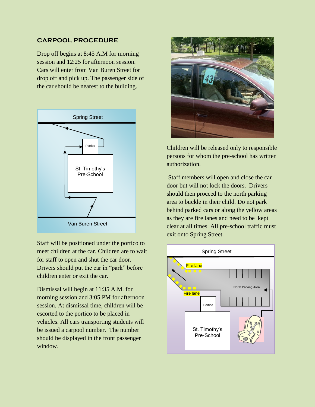# **CARPOOL PROCEDURE**

Drop off begins at 8:45 A.M for morning session and 12:25 for afternoon session. Cars will enter from Van Buren Street for drop off and pick up. The passenger side of the car should be nearest to the building.



Staff will be positioned under the portico to meet children at the car. Children are to wait for staff to open and shut the car door. Drivers should put the car in "park" before children enter or exit the car.

Dismissal will begin at 11:35 A.M. for morning session and 3:05 PM for afternoon session. At dismissal time, children will be escorted to the portico to be placed in vehicles. All cars transporting students will be issued a carpool number. The number should be displayed in the front passenger window.



Children will be released only to responsible persons for whom the pre-school has written authorization.

Staff members will open and close the car door but will not lock the doors. Drivers should then proceed to the north parking area to buckle in their child. Do not park behind parked cars or along the yellow areas as they are fire lanes and need to be kept clear at all times. All pre-school traffic must exit onto Spring Street.

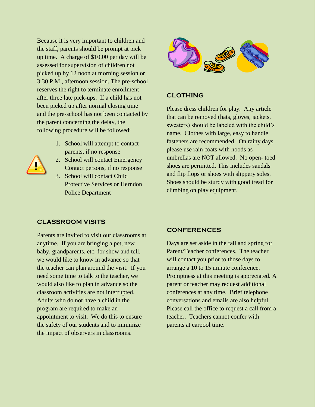Because it is very important to children and the staff, parents should be prompt at pick up time. A charge of \$10.00 per day will be assessed for supervision of children not picked up by 12 noon at morning session or 3:30 P.M., afternoon session. The pre-school reserves the right to terminate enrollment after three late pick-ups. If a child has not been picked up after normal closing time and the pre-school has not been contacted by the parent concerning the delay, the following procedure will be followed:

- 1. School will attempt to contact parents, if no response
- 2. School will contact Emergency Contact persons, if no response
- 3. School will contact Child Protective Services or Herndon Police Department



# **CLOTHING**

Please dress children for play. Any article that can be removed (hats, gloves, jackets, sweaters) should be labeled with the child's name. Clothes with large, easy to handle fasteners are recommended. On rainy days please use rain coats with hoods as umbrellas are NOT allowed. No open- toed shoes are permitted. This includes sandals and flip flops or shoes with slippery soles. Shoes should be sturdy with good tread for climbing on play equipment.

#### **CLASSROOM VISITS**

Parents are invited to visit our classrooms at anytime. If you are bringing a pet, new baby, grandparents, etc. for show and tell, we would like to know in advance so that the teacher can plan around the visit. If you need some time to talk to the teacher, we would also like to plan in advance so the classroom activities are not interrupted. Adults who do not have a child in the program are required to make an appointment to visit. We do this to ensure the safety of our students and to minimize the impact of observers in classrooms.

#### **CONFERENCES**

Days are set aside in the fall and spring for Parent/Teacher conferences. The teacher will contact you prior to those days to arrange a 10 to 15 minute conference. Promptness at this meeting is appreciated. A parent or teacher may request additional conferences at any time. Brief telephone conversations and emails are also helpful. Please call the office to request a call from a teacher. Teachers cannot confer with parents at carpool time.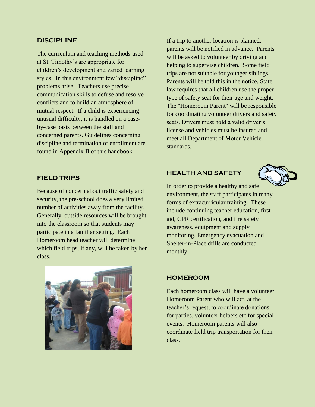#### **DISCIPLINE**

The curriculum and teaching methods used at St. Timothy's are appropriate for children's development and varied learning styles. In this environment few "discipline" problems arise. Teachers use precise communication skills to defuse and resolve conflicts and to build an atmosphere of mutual respect. If a child is experiencing unusual difficulty, it is handled on a caseby-case basis between the staff and concerned parents. Guidelines concerning discipline and termination of enrollment are found in Appendix II of this handbook.

**FIELD TRIPS**

Because of concern about traffic safety and security, the pre-school does a very limited number of activities away from the facility. Generally, outside resources will be brought into the classroom so that students may participate in a familiar setting. Each Homeroom head teacher will determine which field trips, if any, will be taken by her class.



If a trip to another location is planned, parents will be notified in advance. Parents will be asked to volunteer by driving and helping to supervise children. Some field trips are not suitable for younger siblings. Parents will be told this in the notice. State law requires that all children use the proper type of safety seat for their age and weight. The "Homeroom Parent" will be responsible for coordinating volunteer drivers and safety seats. Drivers must hold a valid driver's license and vehicles must be insured and meet all Department of Motor Vehicle standards.

## **HEALTH AND SAFETY**



In order to provide a healthy and safe environment, the staff participates in many forms of extracurricular training. These include continuing teacher education, first aid, CPR certification, and fire safety awareness, equipment and supply monitoring. Emergency evacuation and Shelter-in-Place drills are conducted monthly.

#### **HOMEROOM**

Each homeroom class will have a volunteer Homeroom Parent who will act, at the teacher's request, to coordinate donations for parties, volunteer helpers etc for special events. Homeroom parents will also coordinate field trip transportation for their class.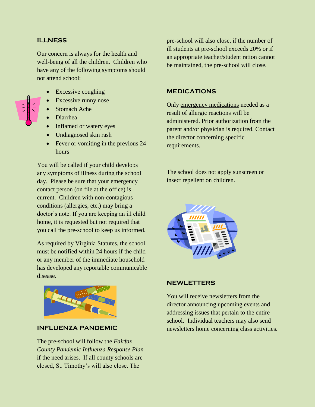## **ILLNESS**

Our concern is always for the health and well-being of all the children. Children who have any of the following symptoms should not attend school:



- Excessive coughing
- Excessive runny nose
- Stomach Ache
- Diarrhea
- Inflamed or watery eyes
- Undiagnosed skin rash
- Fever or vomiting in the previous 24 hours

You will be called if your child develops any symptoms of illness during the school day. Please be sure that your emergency contact person (on file at the office) is current. Children with non-contagious conditions (allergies, etc.) may bring a doctor's note. If you are keeping an ill child home, it is requested but not required that you call the pre-school to keep us informed.

As required by Virginia Statutes, the school must be notified within 24 hours if the child or any member of the immediate household has developed any reportable communicable disease.



## **INFLUENZA PANDEMIC**

The pre-school will follow the *Fairfax County Pandemic Influenza Response Plan* if the need arises. If all county schools are closed, St. Timothy's will also close. The

pre-school will also close, if the number of ill students at pre-school exceeds 20% or if an appropriate teacher/student ration cannot be maintained, the pre-school will close.

# **MEDICATIONS**

Only emergency medications needed as a result of allergic reactions will be administered. Prior authorization from the parent and/or physician is required. Contact the director concerning specific requirements.

The school does not apply sunscreen or insect repellent on children.



## **NEWLETTERS**

You will receive newsletters from the director announcing upcoming events and addressing issues that pertain to the entire school. Individual teachers may also send newsletters home concerning class activities.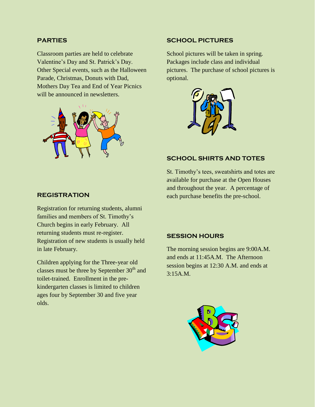## **PARTIES**

Classroom parties are held to celebrate Valentine's Day and St. Patrick's Day. Other Special events, such as the Halloween Parade, Christmas, Donuts with Dad, Mothers Day Tea and End of Year Picnics will be announced in newsletters.



## **SCHOOL PICTURES**

School pictures will be taken in spring. Packages include class and individual pictures. The purchase of school pictures is optional.



## **SCHOOL SHIRTS AND TOTES**

St. Timothy's tees, sweatshirts and totes are available for purchase at the Open Houses and throughout the year. A percentage of each purchase benefits the pre-school.

## **REGISTRATION**

Registration for returning students, alumni families and members of St. Timothy's Church begins in early February. All returning students must re-register. Registration of new students is usually held in late February.

Children applying for the Three-year old classes must be three by September  $30<sup>th</sup>$  and toilet-trained. Enrollment in the prekindergarten classes is limited to children ages four by September 30 and five year olds.

#### **SESSION HOURS**

The morning session begins are 9:00A.M. and ends at 11:45A.M. The Afternoon session begins at 12:30 A.M. and ends at 3:15A.M.

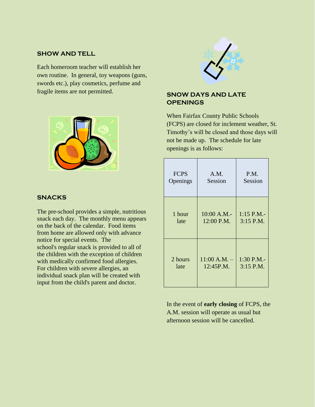## **SHOW AND TELL**

Each homeroom teacher will establish her own routine. In general, toy weapons (guns, swords etc.), play cosmetics, perfume and fragile items are not permitted.



#### **SNACKS**

The pre-school provides a simple, nutritious snack each day. The monthly menu appears on the back of the calendar. Food items from home are allowed only with advance notice for special events. The school's regular snack is provided to all of the children with the exception of children with medically confirmed food allergies. For children with severe allergies, an individual snack plan will be created with input from the child's parent and doctor.



# **SNOW DAYS AND LATE OPENINGS**

When Fairfax County Public Schools (FCPS) are closed for inclement weather, St. Timothy's will be closed and those days will not be made up. The schedule for late openings is as follows:

| <b>FCPS</b> | A.M.           | P.M.         |
|-------------|----------------|--------------|
| Openings    | Session        | Session      |
| 1 hour      | 10:00 A.M.-    | $1:15$ P.M.- |
| late        | 12:00 P.M.     | 3:15 P.M.    |
| 2 hours     | $11:00$ A.M. - | 1:30 P.M.-   |
| late        | 12:45P.M.      | 3:15 P.M.    |

In the event of **early closing** of FCPS, the A.M. session will operate as usual but afternoon session will be cancelled.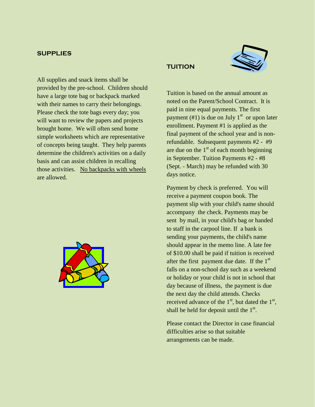#### **SUPPLIES**

All supplies and snack items shall be provided by the pre-school. Children should have a large tote bag or backpack marked with their names to carry their belongings. Please check the tote bags every day; you will want to review the papers and projects brought home. We will often send home simple worksheets which are representative of concepts being taught. They help parents determine the children's activities on a daily basis and can assist children in recalling those activities. No backpacks with wheels are allowed.



# **TUITION**



Tuition is based on the annual amount as noted on the Parent/School Contract. It is paid in nine equal payments. The first payment  $(\#1)$  is due on July 1<sup>st</sup> or upon later enrollment. Payment #1 is applied as the final payment of the school year and is nonrefundable. Subsequent payments #2 - #9 are due on the  $1<sup>st</sup>$  of each month beginning in September. Tuition Payments #2 - #8 (Sept. - March) may be refunded with 30 days notice.

Payment by check is preferred. You will receive a payment coupon book. The payment slip with your child's name should accompany the check. Payments may be sent by mail, in your child's bag or handed to staff in the carpool line. If a bank is sending your payments, the child's name should appear in the memo line. A late fee of \$10.00 shall be paid if tuition is received after the first payment due date. If the  $1<sup>st</sup>$ falls on a non-school day such as a weekend or holiday or your child is not in school that day because of illness, the payment is due the next day the child attends. Checks received advance of the  $1<sup>st</sup>$ , but dated the  $1<sup>st</sup>$ , shall be held for deposit until the  $1<sup>st</sup>$ .

Please contact the Director in case financial difficulties arise so that suitable arrangements can be made.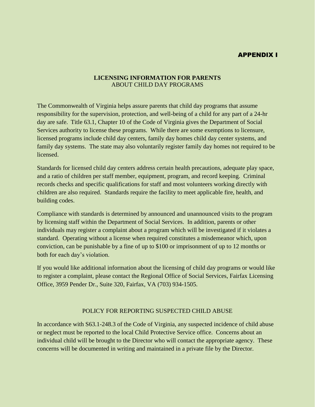# APPENDIX I

## **LICENSING INFORMATION FOR PARENTS** ABOUT CHILD DAY PROGRAMS

The Commonwealth of Virginia helps assure parents that child day programs that assume responsibility for the supervision, protection, and well-being of a child for any part of a 24-hr day are safe. Title 63.1, Chapter 10 of the Code of Virginia gives the Department of Social Services authority to license these programs. While there are some exemptions to licensure, licensed programs include child day centers, family day homes child day center systems, and family day systems. The state may also voluntarily register family day homes not required to be licensed.

Standards for licensed child day centers address certain health precautions, adequate play space, and a ratio of children per staff member, equipment, program, and record keeping. Criminal records checks and specific qualifications for staff and most volunteers working directly with children are also required. Standards require the facility to meet applicable fire, health, and building codes.

Compliance with standards is determined by announced and unannounced visits to the program by licensing staff within the Department of Social Services. In addition, parents or other individuals may register a complaint about a program which will be investigated if it violates a standard. Operating without a license when required constitutes a misdemeanor which, upon conviction, can be punishable by a fine of up to \$100 or imprisonment of up to 12 months or both for each day's violation.

If you would like additional information about the licensing of child day programs or would like to register a complaint, please contact the Regional Office of Social Services, Fairfax Licensing Office, 3959 Pender Dr., Suite 320, Fairfax, VA (703) 934-1505.

#### POLICY FOR REPORTING SUSPECTED CHILD ABUSE

In accordance with S63.1-248.3 of the Code of Virginia, any suspected incidence of child abuse or neglect must be reported to the local Child Protective Service office. Concerns about an individual child will be brought to the Director who will contact the appropriate agency. These concerns will be documented in writing and maintained in a private file by the Director.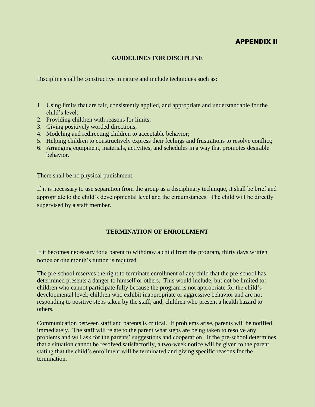## APPENDIX II

## **GUIDELINES FOR DISCIPLINE**

Discipline shall be constructive in nature and include techniques such as:

- 1. Using limits that are fair, consistently applied, and appropriate and understandable for the child's level;
- 2. Providing children with reasons for limits;
- 3. Giving positively worded directions;
- 4. Modeling and redirecting children to acceptable behavior;
- 5. Helping children to constructively express their feelings and frustrations to resolve conflict;
- 6. Arranging equipment, materials, activities, and schedules in a way that promotes desirable behavior.

There shall be no physical punishment.

If it is necessary to use separation from the group as a disciplinary technique, it shall be brief and appropriate to the child's developmental level and the circumstances. The child will be directly supervised by a staff member.

## **TERMINATION OF ENROLLMENT**

If it becomes necessary for a parent to withdraw a child from the program, thirty days written notice or one month's tuition is required.

The pre-school reserves the right to terminate enrollment of any child that the pre-school has determined presents a danger to himself or others. This would include, but not be limited to: children who cannot participate fully because the program is not appropriate for the child's developmental level; children who exhibit inappropriate or aggressive behavior and are not responding to positive steps taken by the staff; and, children who present a health hazard to others.

Communication between staff and parents is critical. If problems arise, parents will be notified immediately. The staff will relate to the parent what steps are being taken to resolve any problems and will ask for the parents' suggestions and cooperation. If the pre-school determines that a situation cannot be resolved satisfactorily, a two-week notice will be given to the parent stating that the child's enrollment will be terminated and giving specific reasons for the termination.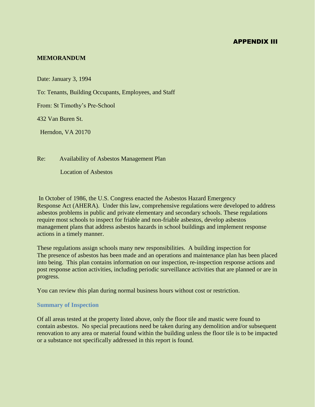## APPENDIX III

## **MEMORANDUM**

Date: January 3, 1994

To: Tenants, Building Occupants, Employees, and Staff

From: St Timothy's Pre-School

432 Van Buren St.

Herndon, VA 20170

Re: Availability of Asbestos Management Plan

Location of Asbestos

In October of 1986, the U.S. Congress enacted the Asbestos Hazard Emergency Response Act (AHERA). Under this law, comprehensive regulations were developed to address asbestos problems in public and private elementary and secondary schools. These regulations require most schools to inspect for friable and non-friable asbestos, develop asbestos management plans that address asbestos hazards in school buildings and implement response actions in a timely manner.

These regulations assign schools many new responsibilities. A building inspection for The presence of asbestos has been made and an operations and maintenance plan has been placed into being. This plan contains information on our inspection, re-inspection response actions and post response action activities, including periodic surveillance activities that are planned or are in progress.

You can review this plan during normal business hours without cost or restriction.

#### **Summary of Inspection**

Of all areas tested at the property listed above, only the floor tile and mastic were found to contain asbestos. No special precautions need be taken during any demolition and/or subsequent renovation to any area or material found within the building unless the floor tile is to be impacted or a substance not specifically addressed in this report is found.